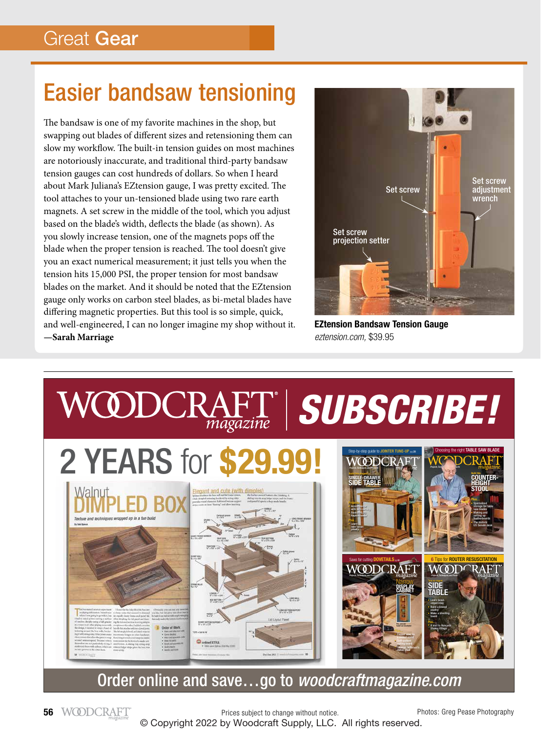## Easier bandsaw tensioning

The bandsaw is one of my favorite machines in the shop, but swapping out blades of different sizes and retensioning them can slow my workflow. The built-in tension guides on most machines are notoriously inaccurate, and traditional third-party bandsaw tension gauges can cost hundreds of dollars. So when I heard about Mark Juliana's EZtension gauge, I was pretty excited. The tool attaches to your un-tensioned blade using two rare earth magnets. A set screw in the middle of the tool, which you adjust based on the blade's width, deflects the blade (as shown). As you slowly increase tension, one of the magnets pops off the blade when the proper tension is reached. The tool doesn't give you an exact numerical measurement; it just tells you when the tension hits 15,000 PSI, the proper tension for most bandsaw blades on the market. And it should be noted that the EZtension gauge only works on carbon steel blades, as bi-metal blades have differing magnetic properties. But this tool is so simple, quick, and well-engineered, I can no longer imagine my shop without it. **—Sarah Marriage**



**EZtension Bandsaw Tension Gauge**  *eztension.com,* \$39.95



Order online and save…go to *woodcraftmagazine.com*

Prices subject to change without notice. © Copyright 2022 by Woodcraft Supply, LLC. All rights reserved.